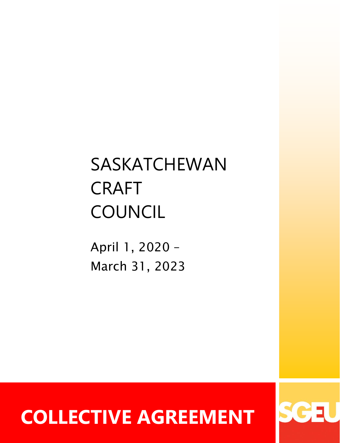# SASKATCHEWAN CRAFT **COUNCIL**

April 1, 2020 – March 31, 2023

# **COLLECTIVE AGREEMENT**

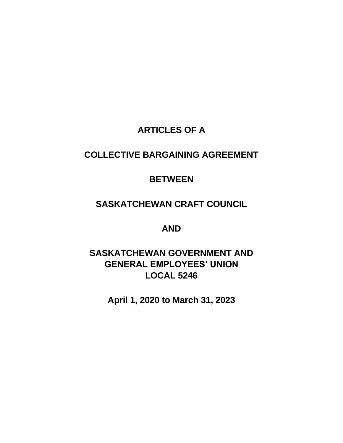# **ARTICLES OF A**

# **COLLECTIVE BARGAINING AGREEMENT**

# **BETWEEN**

# **SASKATCHEWAN CRAFT COUNCIL**

**AND** 

# **SASKATCHEWAN GOVERNMENT AND GENERAL EMPLOYEES' UNION LOCAL 5246**

**April 1, 2020 to March 31, 2023**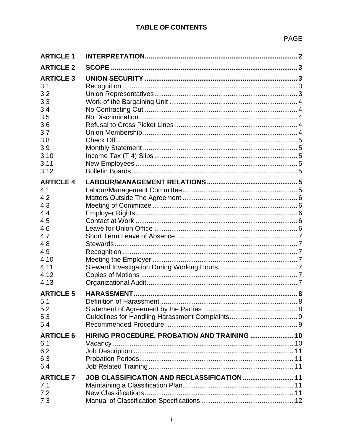| <b>ARTICLE 1</b> |                                              |  |
|------------------|----------------------------------------------|--|
| <b>ARTICLE 2</b> |                                              |  |
| <b>ARTICLE 3</b> |                                              |  |
| 3.1              |                                              |  |
| 3.2              |                                              |  |
| 3.3              |                                              |  |
| 3.4              |                                              |  |
| 3.5              |                                              |  |
| 3.6              |                                              |  |
| 3.7              |                                              |  |
| 3.8              |                                              |  |
| 3.9              |                                              |  |
| 3.10<br>3.11     |                                              |  |
| 3.12             |                                              |  |
|                  |                                              |  |
| <b>ARTICLE 4</b> |                                              |  |
| 4.1              |                                              |  |
| 4.2              |                                              |  |
| 4.3              |                                              |  |
| 4.4              |                                              |  |
| 4.5<br>4.6       |                                              |  |
| 4.7              |                                              |  |
| 4.8              |                                              |  |
| 4.9              |                                              |  |
| 4.10             |                                              |  |
| 4.11             |                                              |  |
| 4.12             |                                              |  |
| 4.13             |                                              |  |
| <b>ARTICLE 5</b> |                                              |  |
| 5.1              |                                              |  |
| 5.2              |                                              |  |
| 5.3              |                                              |  |
| 5.4              |                                              |  |
| <b>ARTICLE 6</b> |                                              |  |
| 6.1              | HIRING PROCEDURE, PROBATION AND TRAINING  10 |  |
| 6.2              |                                              |  |
| 6.3              |                                              |  |
| 6.4              |                                              |  |
|                  |                                              |  |
| <b>ARTICLE 7</b> | JOB CLASSIFICATION AND RECLASSIFICATION  11  |  |
| 7.1<br>7.2       |                                              |  |
| 7.3              |                                              |  |
|                  |                                              |  |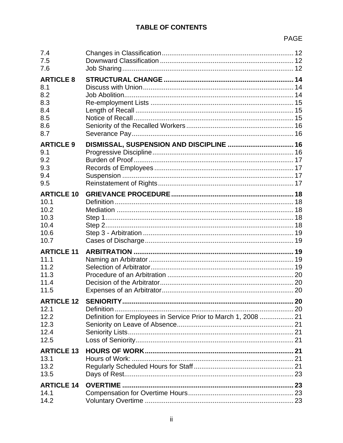# PAGE

| 7.4<br>7.5<br>7.6                                                 |                                                                              |  |
|-------------------------------------------------------------------|------------------------------------------------------------------------------|--|
| <b>ARTICLE 8</b><br>8.1<br>8.2<br>8.3<br>8.4<br>8.5<br>8.6<br>8.7 |                                                                              |  |
| <b>ARTICLE 9</b><br>9.1<br>9.2<br>9.3<br>9.4<br>9.5               |                                                                              |  |
| <b>ARTICLE 10</b><br>10.1<br>10.2<br>10.3<br>10.4<br>10.6<br>10.7 |                                                                              |  |
| <b>ARTICLE 11</b><br>11.1<br>11.2<br>11.3<br>11.4<br>11.5         |                                                                              |  |
| <b>ARTICLE 12</b><br>12.1<br>12.2<br>12.3<br>12.4<br>12.5         | Definition<br>Definition for Employees in Service Prior to March 1, 2008  21 |  |
| <b>ARTICLE 13</b><br>13.1<br>13.2<br>13.5                         |                                                                              |  |
| <b>ARTICLE 14</b><br>14.1<br>14.2                                 |                                                                              |  |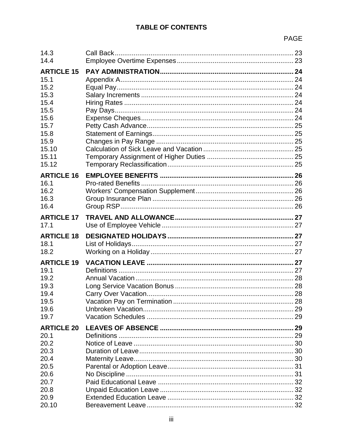# PAGE

| 14.3              |  |
|-------------------|--|
| 14.4              |  |
| <b>ARTICLE 15</b> |  |
| 15.1              |  |
| 15.2              |  |
| 15.3              |  |
|                   |  |
| 15.4              |  |
| 15.5              |  |
| 15.6              |  |
| 15.7              |  |
| 15.8              |  |
| 15.9              |  |
| 15.10             |  |
| 15.11             |  |
| 15.12             |  |
| <b>ARTICLE 16</b> |  |
| 16.1              |  |
| 16.2              |  |
| 16.3              |  |
|                   |  |
| 16.4              |  |
| <b>ARTICLE 17</b> |  |
| 17.1              |  |
| <b>ARTICLE 18</b> |  |
| 18.1              |  |
| 18.2              |  |
|                   |  |
| <b>ARTICLE 19</b> |  |
| 19.1              |  |
| 19.2              |  |
| 19.3              |  |
| 19.4              |  |
| 19.5              |  |
| 19.6              |  |
| 19.7              |  |
|                   |  |
| <b>ARTICLE 20</b> |  |
| 20.1              |  |
| 20.2              |  |
| 20.3              |  |
| 20.4              |  |
| 20.5              |  |
| 20.6              |  |
| 20.7              |  |
| 20.8              |  |
|                   |  |
|                   |  |
| 20.9<br>20.10     |  |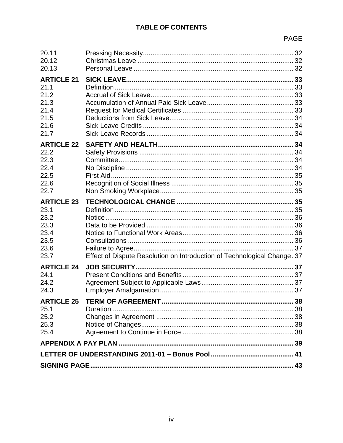# PAGE

| 20.11<br>20.12                                                            |                                                                          |  |
|---------------------------------------------------------------------------|--------------------------------------------------------------------------|--|
| 20.13                                                                     |                                                                          |  |
| <b>ARTICLE 21</b><br>21.1<br>21.2<br>21.3<br>21.4<br>21.5<br>21.6<br>21.7 |                                                                          |  |
| <b>ARTICLE 22</b>                                                         |                                                                          |  |
| 22.2                                                                      |                                                                          |  |
| 22.3                                                                      |                                                                          |  |
| 22.4                                                                      |                                                                          |  |
| 22.5                                                                      |                                                                          |  |
| 22.6                                                                      |                                                                          |  |
| 22.7                                                                      |                                                                          |  |
| <b>ARTICLE 23</b>                                                         |                                                                          |  |
| 23.1                                                                      |                                                                          |  |
| 23.2                                                                      |                                                                          |  |
| 23.3                                                                      |                                                                          |  |
| 23.4                                                                      |                                                                          |  |
| 23.5                                                                      |                                                                          |  |
| 23.6                                                                      |                                                                          |  |
| 23.7                                                                      | Effect of Dispute Resolution on Introduction of Technological Change. 37 |  |
| <b>ARTICLE 24</b>                                                         |                                                                          |  |
| 24.1                                                                      |                                                                          |  |
| 24.2                                                                      |                                                                          |  |
| 24.3                                                                      |                                                                          |  |
| <b>ARTICLE 25</b>                                                         |                                                                          |  |
| 25.1                                                                      | Duration.                                                                |  |
| 25.2                                                                      |                                                                          |  |
| 25.3                                                                      |                                                                          |  |
| 25.4                                                                      |                                                                          |  |
|                                                                           |                                                                          |  |
|                                                                           |                                                                          |  |
|                                                                           |                                                                          |  |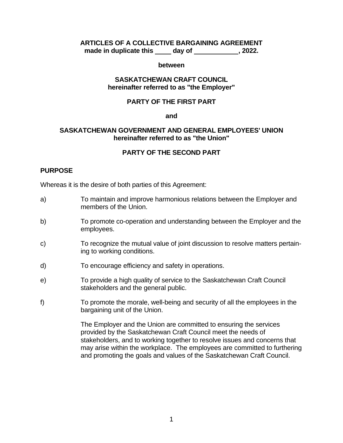#### **ARTICLES OF A COLLECTIVE BARGAINING AGREEMENT made in duplicate this day of the case of the set of the set of the set of the set of the set of the set of the set of the set of the set of the set of the set of the set of the set of the set of the set of the set of the**

#### **between**

#### **SASKATCHEWAN CRAFT COUNCIL hereinafter referred to as "the Employer"**

#### **PARTY OF THE FIRST PART**

#### **and**

#### **SASKATCHEWAN GOVERNMENT AND GENERAL EMPLOYEES' UNION hereinafter referred to as "the Union"**

#### **PARTY OF THE SECOND PART**

#### **PURPOSE**

Whereas it is the desire of both parties of this Agreement:

- a) To maintain and improve harmonious relations between the Employer and members of the Union.
- b) To promote co-operation and understanding between the Employer and the employees.
- c) To recognize the mutual value of joint discussion to resolve matters pertaining to working conditions.
- d) To encourage efficiency and safety in operations.
- e) To provide a high quality of service to the Saskatchewan Craft Council stakeholders and the general public.
- f) To promote the morale, well-being and security of all the employees in the bargaining unit of the Union.

The Employer and the Union are committed to ensuring the services provided by the Saskatchewan Craft Council meet the needs of stakeholders, and to working together to resolve issues and concerns that may arise within the workplace. The employees are committed to furthering and promoting the goals and values of the Saskatchewan Craft Council.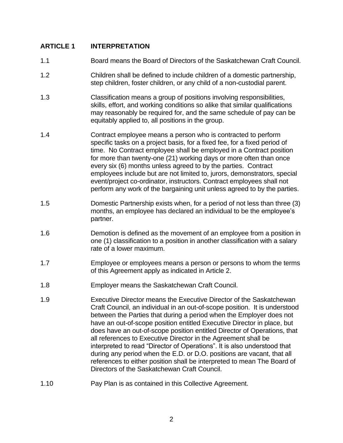# <span id="page-7-0"></span>**ARTICLE 1 INTERPRETATION**

- 1.1 Board means the Board of Directors of the Saskatchewan Craft Council.
- 1.2 Children shall be defined to include children of a domestic partnership, step children, foster children, or any child of a non-custodial parent.
- 1.3 Classification means a group of positions involving responsibilities, skills, effort, and working conditions so alike that similar qualifications may reasonably be required for, and the same schedule of pay can be equitably applied to, all positions in the group.
- 1.4 Contract employee means a person who is contracted to perform specific tasks on a project basis, for a fixed fee, for a fixed period of time. No Contract employee shall be employed in a Contract position for more than twenty-one (21) working days or more often than once every six (6) months unless agreed to by the parties. Contract employees include but are not limited to, jurors, demonstrators, special event/project co-ordinator, instructors. Contract employees shall not perform any work of the bargaining unit unless agreed to by the parties.
- 1.5 Domestic Partnership exists when, for a period of not less than three (3) months, an employee has declared an individual to be the employee's partner.
- 1.6 Demotion is defined as the movement of an employee from a position in one (1) classification to a position in another classification with a salary rate of a lower maximum.
- 1.7 Employee or employees means a person or persons to whom the terms of this Agreement apply as indicated in Article 2.
- 1.8 Employer means the Saskatchewan Craft Council.
- 1.9 Executive Director means the Executive Director of the Saskatchewan Craft Council, an individual in an out-of-scope position. It is understood between the Parties that during a period when the Employer does not have an out-of-scope position entitled Executive Director in place, but does have an out-of-scope position entitled Director of Operations, that all references to Executive Director in the Agreement shall be interpreted to read "Director of Operations". It is also understood that during any period when the E.D. or D.O. positions are vacant, that all references to either position shall be interpreted to mean The Board of Directors of the Saskatchewan Craft Council.
- 1.10 Pay Plan is as contained in this Collective Agreement.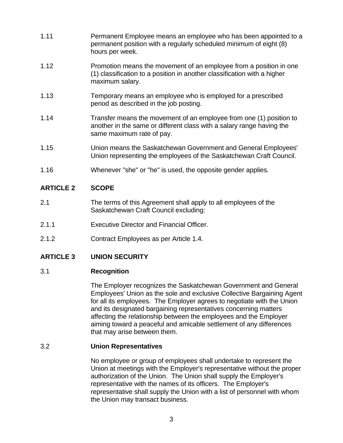- 1.11 Permanent Employee means an employee who has been appointed to a permanent position with a regularly scheduled minimum of eight (8) hours per week.
- 1.12 Promotion means the movement of an employee from a position in one (1) classification to a position in another classification with a higher maximum salary.
- 1.13 Temporary means an employee who is employed for a prescribed period as described in the job posting.
- 1.14 Transfer means the movement of an employee from one (1) position to another in the same or different class with a salary range having the same maximum rate of pay.
- 1.15 Union means the Saskatchewan Government and General Employees' Union representing the employees of the Saskatchewan Craft Council.
- <span id="page-8-0"></span>1.16 Whenever "she" or "he" is used, the opposite gender applies.

# **ARTICLE 2 SCOPE**

- 2.1 The terms of this Agreement shall apply to all employees of the Saskatchewan Craft Council excluding:
- 2.1.1 Executive Director and Financial Officer.
- <span id="page-8-1"></span>2.1.2 Contract Employees as per Article 1.4.

# **ARTICLE 3 UNION SECURITY**

# <span id="page-8-2"></span>3.1 **Recognition**

The Employer recognizes the Saskatchewan Government and General Employees' Union as the sole and exclusive Collective Bargaining Agent for all its employees. The Employer agrees to negotiate with the Union and its designated bargaining representatives concerning matters affecting the relationship between the employees and the Employer aiming toward a peaceful and amicable settlement of any differences that may arise between them.

### <span id="page-8-3"></span>3.2 **Union Representatives**

No employee or group of employees shall undertake to represent the Union at meetings with the Employer's representative without the proper authorization of the Union. The Union shall supply the Employer's representative with the names of its officers. The Employer's representative shall supply the Union with a list of personnel with whom the Union may transact business.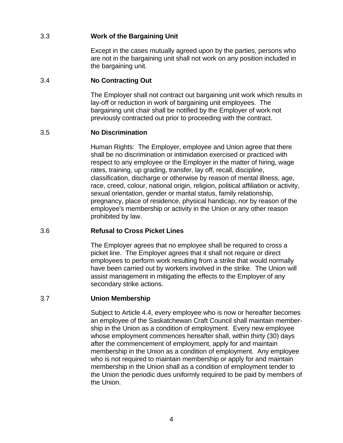# <span id="page-9-0"></span>3.3 **Work of the Bargaining Unit**

Except in the cases mutually agreed upon by the parties, persons who are not in the bargaining unit shall not work on any position included in the bargaining unit.

# <span id="page-9-1"></span>3.4 **No Contracting Out**

The Employer shall not contract out bargaining unit work which results in lay-off or reduction in work of bargaining unit employees. The bargaining unit chair shall be notified by the Employer of work not previously contracted out prior to proceeding with the contract.

### <span id="page-9-2"></span>3.5 **No Discrimination**

Human Rights: The Employer, employee and Union agree that there shall be no discrimination or intimidation exercised or practiced with respect to any employee or the Employer in the matter of hiring, wage rates, training, up grading, transfer, lay off, recall, discipline, classification, discharge or otherwise by reason of mental illness, age, race, creed, colour, national origin, religion, political affiliation or activity, sexual orientation, gender or marital status, family relationship, pregnancy, place of residence, physical handicap, nor by reason of the employee's membership or activity in the Union or any other reason prohibited by law.

### <span id="page-9-3"></span>3.6 **Refusal to Cross Picket Lines**

The Employer agrees that no employee shall be required to cross a picket line. The Employer agrees that it shall not require or direct employees to perform work resulting from a strike that would normally have been carried out by workers involved in the strike. The Union will assist management in mitigating the effects to the Employer of any secondary strike actions.

### <span id="page-9-4"></span>3.7 **Union Membership**

Subject to Article 4.4, every employee who is now or hereafter becomes an employee of the Saskatchewan Craft Council shall maintain membership in the Union as a condition of employment. Every new employee whose employment commences hereafter shall, within thirty (30) days after the commencement of employment, apply for and maintain membership in the Union as a condition of employment. Any employee who is not required to maintain membership or apply for and maintain membership in the Union shall as a condition of employment tender to the Union the periodic dues uniformly required to be paid by members of the Union.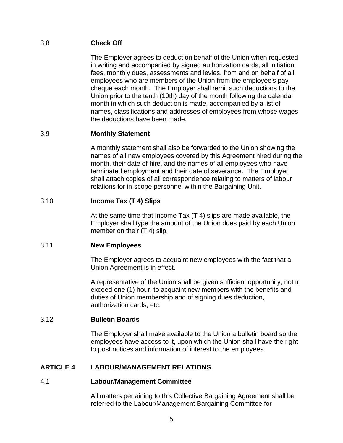# <span id="page-10-0"></span>3.8 **Check Off**

The Employer agrees to deduct on behalf of the Union when requested in writing and accompanied by signed authorization cards, all initiation fees, monthly dues, assessments and levies, from and on behalf of all employees who are members of the Union from the employee's pay cheque each month. The Employer shall remit such deductions to the Union prior to the tenth (10th) day of the month following the calendar month in which such deduction is made, accompanied by a list of names, classifications and addresses of employees from whose wages the deductions have been made.

# <span id="page-10-1"></span>3.9 **Monthly Statement**

A monthly statement shall also be forwarded to the Union showing the names of all new employees covered by this Agreement hired during the month, their date of hire, and the names of all employees who have terminated employment and their date of severance. The Employer shall attach copies of all correspondence relating to matters of labour relations for in-scope personnel within the Bargaining Unit.

# <span id="page-10-2"></span>3.10 **Income Tax (T 4) Slips**

At the same time that Income Tax (T 4) slips are made available, the Employer shall type the amount of the Union dues paid by each Union member on their (T 4) slip.

### <span id="page-10-3"></span>3.11 **New Employees**

The Employer agrees to acquaint new employees with the fact that a Union Agreement is in effect.

A representative of the Union shall be given sufficient opportunity, not to exceed one (1) hour, to acquaint new members with the benefits and duties of Union membership and of signing dues deduction, authorization cards, etc.

### <span id="page-10-4"></span>3.12 **Bulletin Boards**

The Employer shall make available to the Union a bulletin board so the employees have access to it, upon which the Union shall have the right to post notices and information of interest to the employees.

# <span id="page-10-6"></span><span id="page-10-5"></span>**ARTICLE 4 LABOUR/MANAGEMENT RELATIONS**

### 4.1 **Labour/Management Committee**

All matters pertaining to this Collective Bargaining Agreement shall be referred to the Labour/Management Bargaining Committee for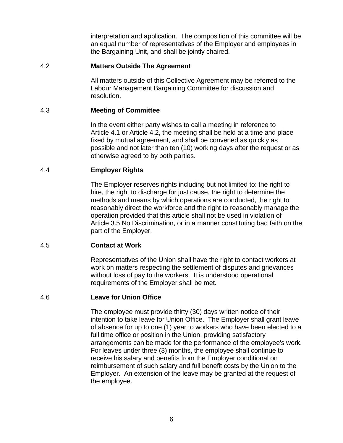interpretation and application. The composition of this committee will be an equal number of representatives of the Employer and employees in the Bargaining Unit, and shall be jointly chaired.

# <span id="page-11-0"></span>4.2 **Matters Outside The Agreement**

All matters outside of this Collective Agreement may be referred to the Labour Management Bargaining Committee for discussion and resolution.

#### <span id="page-11-1"></span>4.3 **Meeting of Committee**

In the event either party wishes to call a meeting in reference to Article 4.1 or Article 4.2, the meeting shall be held at a time and place fixed by mutual agreement, and shall be convened as quickly as possible and not later than ten (10) working days after the request or as otherwise agreed to by both parties.

### <span id="page-11-2"></span>4.4 **Employer Rights**

The Employer reserves rights including but not limited to: the right to hire, the right to discharge for just cause, the right to determine the methods and means by which operations are conducted, the right to reasonably direct the workforce and the right to reasonably manage the operation provided that this article shall not be used in violation of Article 3.5 No Discrimination, or in a manner constituting bad faith on the part of the Employer.

### <span id="page-11-3"></span>4.5 **Contact at Work**

Representatives of the Union shall have the right to contact workers at work on matters respecting the settlement of disputes and grievances without loss of pay to the workers. It is understood operational requirements of the Employer shall be met.

### <span id="page-11-4"></span>4.6 **Leave for Union Office**

The employee must provide thirty (30) days written notice of their intention to take leave for Union Office. The Employer shall grant leave of absence for up to one (1) year to workers who have been elected to a full time office or position in the Union, providing satisfactory arrangements can be made for the performance of the employee's work. For leaves under three (3) months, the employee shall continue to receive his salary and benefits from the Employer conditional on reimbursement of such salary and full benefit costs by the Union to the Employer. An extension of the leave may be granted at the request of the employee.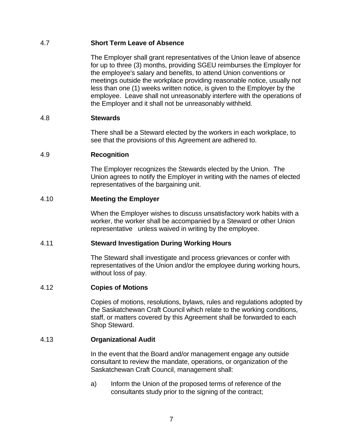# <span id="page-12-0"></span>4.7 **Short Term Leave of Absence**

The Employer shall grant representatives of the Union leave of absence for up to three (3) months, providing SGEU reimburses the Employer for the employee's salary and benefits, to attend Union conventions or meetings outside the workplace providing reasonable notice, usually not less than one (1) weeks written notice, is given to the Employer by the employee. Leave shall not unreasonably interfere with the operations of the Employer and it shall not be unreasonably withheld.

#### <span id="page-12-1"></span>4.8 **Stewards**

There shall be a Steward elected by the workers in each workplace, to see that the provisions of this Agreement are adhered to.

#### <span id="page-12-2"></span>4.9 **Recognition**

The Employer recognizes the Stewards elected by the Union. The Union agrees to notify the Employer in writing with the names of elected representatives of the bargaining unit.

#### <span id="page-12-3"></span>4.10 **Meeting the Employer**

When the Employer wishes to discuss unsatisfactory work habits with a worker, the worker shall be accompanied by a Steward or other Union representative unless waived in writing by the employee.

#### <span id="page-12-4"></span>4.11 **Steward Investigation During Working Hours**

The Steward shall investigate and process grievances or confer with representatives of the Union and/or the employee during working hours, without loss of pay.

#### <span id="page-12-5"></span>4.12 **Copies of Motions**

Copies of motions, resolutions, bylaws, rules and regulations adopted by the Saskatchewan Craft Council which relate to the working conditions, staff, or matters covered by this Agreement shall be forwarded to each Shop Steward.

### <span id="page-12-6"></span>4.13 **Organizational Audit**

In the event that the Board and/or management engage any outside consultant to review the mandate, operations, or organization of the Saskatchewan Craft Council, management shall:

a) Inform the Union of the proposed terms of reference of the consultants study prior to the signing of the contract;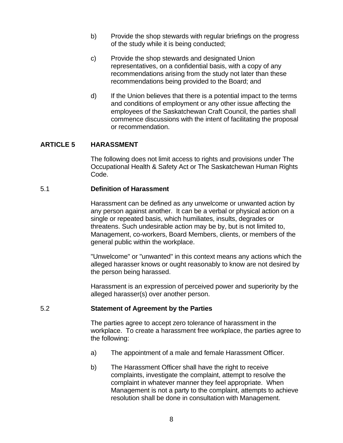- b) Provide the shop stewards with regular briefings on the progress of the study while it is being conducted;
- c) Provide the shop stewards and designated Union representatives, on a confidential basis, with a copy of any recommendations arising from the study not later than these recommendations being provided to the Board; and
- d) If the Union believes that there is a potential impact to the terms and conditions of employment or any other issue affecting the employees of the Saskatchewan Craft Council, the parties shall commence discussions with the intent of facilitating the proposal or recommendation.

### <span id="page-13-0"></span>**ARTICLE 5 HARASSMENT**

The following does not limit access to rights and provisions under The Occupational Health & Safety Act or The Saskatchewan Human Rights Code.

#### <span id="page-13-1"></span>5.1 **Definition of Harassment**

Harassment can be defined as any unwelcome or unwanted action by any person against another. It can be a verbal or physical action on a single or repeated basis, which humiliates, insults, degrades or threatens. Such undesirable action may be by, but is not limited to, Management, co-workers, Board Members, clients, or members of the general public within the workplace.

"Unwelcome" or "unwanted" in this context means any actions which the alleged harasser knows or ought reasonably to know are not desired by the person being harassed.

Harassment is an expression of perceived power and superiority by the alleged harasser(s) over another person.

#### <span id="page-13-2"></span>5.2 **Statement of Agreement by the Parties**

The parties agree to accept zero tolerance of harassment in the workplace. To create a harassment free workplace, the parties agree to the following:

- a) The appointment of a male and female Harassment Officer.
- b) The Harassment Officer shall have the right to receive complaints, investigate the complaint, attempt to resolve the complaint in whatever manner they feel appropriate. When Management is not a party to the complaint, attempts to achieve resolution shall be done in consultation with Management.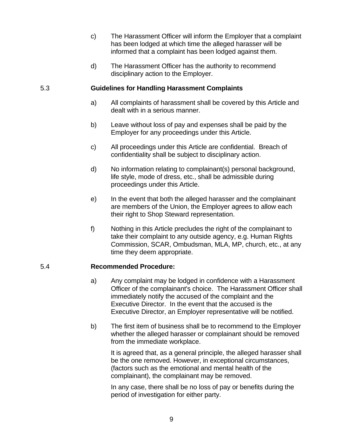- c) The Harassment Officer will inform the Employer that a complaint has been lodged at which time the alleged harasser will be informed that a complaint has been lodged against them.
- d) The Harassment Officer has the authority to recommend disciplinary action to the Employer.

# <span id="page-14-0"></span>5.3 **Guidelines for Handling Harassment Complaints**

- a) All complaints of harassment shall be covered by this Article and dealt with in a serious manner.
- b) Leave without loss of pay and expenses shall be paid by the Employer for any proceedings under this Article.
- c) All proceedings under this Article are confidential. Breach of confidentiality shall be subject to disciplinary action.
- d) No information relating to complainant(s) personal background, life style, mode of dress, etc., shall be admissible during proceedings under this Article.
- e) In the event that both the alleged harasser and the complainant are members of the Union, the Employer agrees to allow each their right to Shop Steward representation.
- f) Nothing in this Article precludes the right of the complainant to take their complaint to any outside agency, e.g. Human Rights Commission, SCAR, Ombudsman, MLA, MP, church, etc., at any time they deem appropriate.

# <span id="page-14-1"></span>5.4 **Recommended Procedure:**

- a) Any complaint may be lodged in confidence with a Harassment Officer of the complainant's choice. The Harassment Officer shall immediately notify the accused of the complaint and the Executive Director. In the event that the accused is the Executive Director, an Employer representative will be notified.
- b) The first item of business shall be to recommend to the Employer whether the alleged harasser or complainant should be removed from the immediate workplace.

It is agreed that, as a general principle, the alleged harasser shall be the one removed. However, in exceptional circumstances, (factors such as the emotional and mental health of the complainant), the complainant may be removed.

In any case, there shall be no loss of pay or benefits during the period of investigation for either party.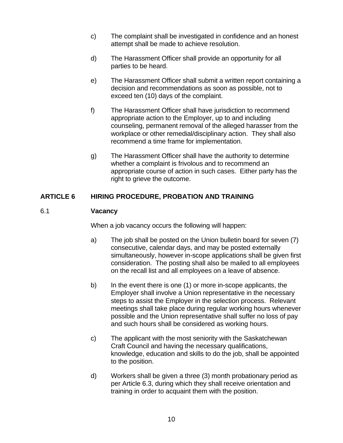- c) The complaint shall be investigated in confidence and an honest attempt shall be made to achieve resolution.
- d) The Harassment Officer shall provide an opportunity for all parties to be heard.
- e) The Harassment Officer shall submit a written report containing a decision and recommendations as soon as possible, not to exceed ten (10) days of the complaint.
- f) The Harassment Officer shall have jurisdiction to recommend appropriate action to the Employer, up to and including counseling, permanent removal of the alleged harasser from the workplace or other remedial/disciplinary action. They shall also recommend a time frame for implementation.
- g) The Harassment Officer shall have the authority to determine whether a complaint is frivolous and to recommend an appropriate course of action in such cases. Either party has the right to grieve the outcome.

# <span id="page-15-0"></span>**ARTICLE 6 HIRING PROCEDURE, PROBATION AND TRAINING**

### <span id="page-15-1"></span>6.1 **Vacancy**

When a job vacancy occurs the following will happen:

- a) The job shall be posted on the Union bulletin board for seven (7) consecutive, calendar days, and may be posted externally simultaneously, however in-scope applications shall be given first consideration. The posting shall also be mailed to all employees on the recall list and all employees on a leave of absence.
- b) In the event there is one (1) or more in-scope applicants, the Employer shall involve a Union representative in the necessary steps to assist the Employer in the selection process. Relevant meetings shall take place during regular working hours whenever possible and the Union representative shall suffer no loss of pay and such hours shall be considered as working hours.
- c) The applicant with the most seniority with the Saskatchewan Craft Council and having the necessary qualifications, knowledge, education and skills to do the job, shall be appointed to the position.
- d) Workers shall be given a three (3) month probationary period as per Article 6.3, during which they shall receive orientation and training in order to acquaint them with the position.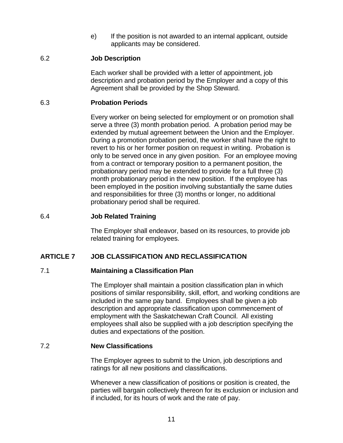e) If the position is not awarded to an internal applicant, outside applicants may be considered.

### <span id="page-16-0"></span>6.2 **Job Description**

Each worker shall be provided with a letter of appointment, job description and probation period by the Employer and a copy of this Agreement shall be provided by the Shop Steward.

## <span id="page-16-1"></span>6.3 **Probation Periods**

Every worker on being selected for employment or on promotion shall serve a three (3) month probation period. A probation period may be extended by mutual agreement between the Union and the Employer. During a promotion probation period, the worker shall have the right to revert to his or her former position on request in writing. Probation is only to be served once in any given position. For an employee moving from a contract or temporary position to a permanent position, the probationary period may be extended to provide for a full three (3) month probationary period in the new position. If the employee has been employed in the position involving substantially the same duties and responsibilities for three (3) months or longer, no additional probationary period shall be required.

# <span id="page-16-2"></span>6.4 **Job Related Training**

The Employer shall endeavor, based on its resources, to provide job related training for employees.

# <span id="page-16-4"></span><span id="page-16-3"></span>**ARTICLE 7 JOB CLASSIFICATION AND RECLASSIFICATION**

### 7.1 **Maintaining a Classification Plan**

The Employer shall maintain a position classification plan in which positions of similar responsibility, skill, effort, and working conditions are included in the same pay band. Employees shall be given a job description and appropriate classification upon commencement of employment with the Saskatchewan Craft Council. All existing employees shall also be supplied with a job description specifying the duties and expectations of the position.

### <span id="page-16-5"></span>7.2 **New Classifications**

The Employer agrees to submit to the Union, job descriptions and ratings for all new positions and classifications.

Whenever a new classification of positions or position is created, the parties will bargain collectively thereon for its exclusion or inclusion and if included, for its hours of work and the rate of pay.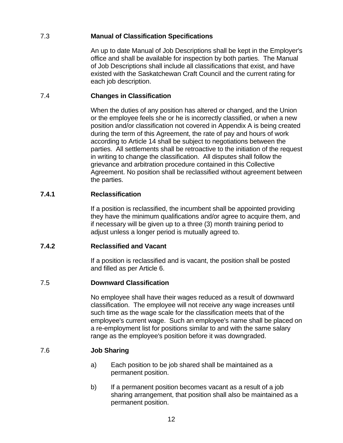# <span id="page-17-0"></span>7.3 **Manual of Classification Specifications**

An up to date Manual of Job Descriptions shall be kept in the Employer's office and shall be available for inspection by both parties. The Manual of Job Descriptions shall include all classifications that exist, and have existed with the Saskatchewan Craft Council and the current rating for each job description.

# <span id="page-17-1"></span>7.4 **Changes in Classification**

When the duties of any position has altered or changed, and the Union or the employee feels she or he is incorrectly classified, or when a new position and/or classification not covered in Appendix A is being created during the term of this Agreement, the rate of pay and hours of work according to Article 14 shall be subject to negotiations between the parties. All settlements shall be retroactive to the initiation of the request in writing to change the classification. All disputes shall follow the grievance and arbitration procedure contained in this Collective Agreement. No position shall be reclassified without agreement between the parties.

# **7.4.1 Reclassification**

If a position is reclassified, the incumbent shall be appointed providing they have the minimum qualifications and/or agree to acquire them, and if necessary will be given up to a three (3) month training period to adjust unless a longer period is mutually agreed to.

# **7.4.2 Reclassified and Vacant**

If a position is reclassified and is vacant, the position shall be posted and filled as per Article 6.

# <span id="page-17-2"></span>7.5 **Downward Classification**

No employee shall have their wages reduced as a result of downward classification. The employee will not receive any wage increases until such time as the wage scale for the classification meets that of the employee's current wage. Such an employee's name shall be placed on a re-employment list for positions similar to and with the same salary range as the employee's position before it was downgraded.

# <span id="page-17-3"></span>7.6 **Job Sharing**

- a) Each position to be job shared shall be maintained as a permanent position.
- b) If a permanent position becomes vacant as a result of a job sharing arrangement, that position shall also be maintained as a permanent position.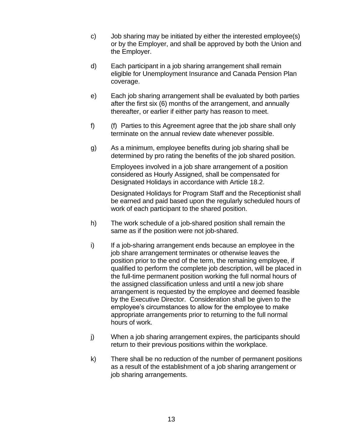- c) Job sharing may be initiated by either the interested employee(s) or by the Employer, and shall be approved by both the Union and the Employer.
- d) Each participant in a job sharing arrangement shall remain eligible for Unemployment Insurance and Canada Pension Plan coverage.
- e) Each job sharing arrangement shall be evaluated by both parties after the first six (6) months of the arrangement, and annually thereafter, or earlier if either party has reason to meet.
- f) (f) Parties to this Agreement agree that the job share shall only terminate on the annual review date whenever possible.
- g) As a minimum, employee benefits during job sharing shall be determined by pro rating the benefits of the job shared position.

Employees involved in a job share arrangement of a position considered as Hourly Assigned, shall be compensated for Designated Holidays in accordance with Article 18.2.

Designated Holidays for Program Staff and the Receptionist shall be earned and paid based upon the regularly scheduled hours of work of each participant to the shared position.

- h) The work schedule of a job-shared position shall remain the same as if the position were not job-shared.
- i) If a job-sharing arrangement ends because an employee in the job share arrangement terminates or otherwise leaves the position prior to the end of the term, the remaining employee, if qualified to perform the complete job description, will be placed in the full-time permanent position working the full normal hours of the assigned classification unless and until a new job share arrangement is requested by the employee and deemed feasible by the Executive Director. Consideration shall be given to the employee's circumstances to allow for the employee to make appropriate arrangements prior to returning to the full normal hours of work.
- j) When a job sharing arrangement expires, the participants should return to their previous positions within the workplace.
- k) There shall be no reduction of the number of permanent positions as a result of the establishment of a job sharing arrangement or job sharing arrangements.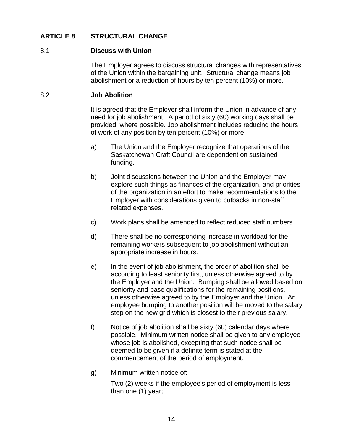# <span id="page-19-0"></span>**ARTICLE 8 STRUCTURAL CHANGE**

### <span id="page-19-1"></span>8.1 **Discuss with Union**

The Employer agrees to discuss structural changes with representatives of the Union within the bargaining unit. Structural change means job abolishment or a reduction of hours by ten percent (10%) or more.

### <span id="page-19-2"></span>8.2 **Job Abolition**

It is agreed that the Employer shall inform the Union in advance of any need for job abolishment. A period of sixty (60) working days shall be provided, where possible. Job abolishment includes reducing the hours of work of any position by ten percent (10%) or more.

- a) The Union and the Employer recognize that operations of the Saskatchewan Craft Council are dependent on sustained funding.
- b) Joint discussions between the Union and the Employer may explore such things as finances of the organization, and priorities of the organization in an effort to make recommendations to the Employer with considerations given to cutbacks in non-staff related expenses.
- c) Work plans shall be amended to reflect reduced staff numbers.
- d) There shall be no corresponding increase in workload for the remaining workers subsequent to job abolishment without an appropriate increase in hours.
- e) In the event of job abolishment, the order of abolition shall be according to least seniority first, unless otherwise agreed to by the Employer and the Union. Bumping shall be allowed based on seniority and base qualifications for the remaining positions, unless otherwise agreed to by the Employer and the Union. An employee bumping to another position will be moved to the salary step on the new grid which is closest to their previous salary.
- f) Notice of job abolition shall be sixty (60) calendar days where possible. Minimum written notice shall be given to any employee whose job is abolished, excepting that such notice shall be deemed to be given if a definite term is stated at the commencement of the period of employment.
- g) Minimum written notice of:

Two (2) weeks if the employee's period of employment is less than one (1) year;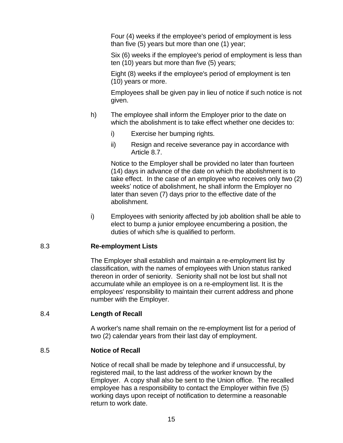Four (4) weeks if the employee's period of employment is less than five (5) years but more than one (1) year;

Six (6) weeks if the employee's period of employment is less than ten (10) years but more than five (5) years;

Eight (8) weeks if the employee's period of employment is ten (10) years or more.

Employees shall be given pay in lieu of notice if such notice is not given.

- h) The employee shall inform the Employer prior to the date on which the abolishment is to take effect whether one decides to:
	- i) Exercise her bumping rights.
	- ii) Resign and receive severance pay in accordance with Article 8.7.

Notice to the Employer shall be provided no later than fourteen (14) days in advance of the date on which the abolishment is to take effect. In the case of an employee who receives only two (2) weeks' notice of abolishment, he shall inform the Employer no later than seven (7) days prior to the effective date of the abolishment.

i) Employees with seniority affected by job abolition shall be able to elect to bump a junior employee encumbering a position, the duties of which s/he is qualified to perform.

# <span id="page-20-0"></span>8.3 **Re-employment Lists**

The Employer shall establish and maintain a re-employment list by classification, with the names of employees with Union status ranked thereon in order of seniority. Seniority shall not be lost but shall not accumulate while an employee is on a re-employment list. It is the employees' responsibility to maintain their current address and phone number with the Employer.

# <span id="page-20-1"></span>8.4 **Length of Recall**

A worker's name shall remain on the re-employment list for a period of two (2) calendar years from their last day of employment.

# <span id="page-20-2"></span>8.5 **Notice of Recall**

Notice of recall shall be made by telephone and if unsuccessful, by registered mail, to the last address of the worker known by the Employer. A copy shall also be sent to the Union office. The recalled employee has a responsibility to contact the Employer within five (5) working days upon receipt of notification to determine a reasonable return to work date.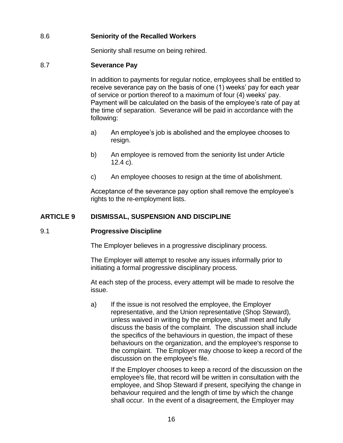# <span id="page-21-0"></span>8.6 **Seniority of the Recalled Workers**

Seniority shall resume on being rehired.

# <span id="page-21-1"></span>8.7 **Severance Pay**

In addition to payments for regular notice, employees shall be entitled to receive severance pay on the basis of one (1) weeks' pay for each year of service or portion thereof to a maximum of four (4) weeks' pay. Payment will be calculated on the basis of the employee's rate of pay at the time of separation. Severance will be paid in accordance with the following:

- a) An employee's job is abolished and the employee chooses to resign.
- b) An employee is removed from the seniority list under Article 12.4 c).
- c) An employee chooses to resign at the time of abolishment.

Acceptance of the severance pay option shall remove the employee's rights to the re-employment lists.

# <span id="page-21-2"></span>**ARTICLE 9 DISMISSAL, SUSPENSION AND DISCIPLINE**

### <span id="page-21-3"></span>9.1 **Progressive Discipline**

The Employer believes in a progressive disciplinary process.

The Employer will attempt to resolve any issues informally prior to initiating a formal progressive disciplinary process.

At each step of the process, every attempt will be made to resolve the issue.

a) If the issue is not resolved the employee, the Employer representative, and the Union representative (Shop Steward), unless waived in writing by the employee, shall meet and fully discuss the basis of the complaint. The discussion shall include the specifics of the behaviours in question, the impact of these behaviours on the organization, and the employee's response to the complaint. The Employer may choose to keep a record of the discussion on the employee's file.

If the Employer chooses to keep a record of the discussion on the employee's file, that record will be written in consultation with the employee, and Shop Steward if present, specifying the change in behaviour required and the length of time by which the change shall occur. In the event of a disagreement, the Employer may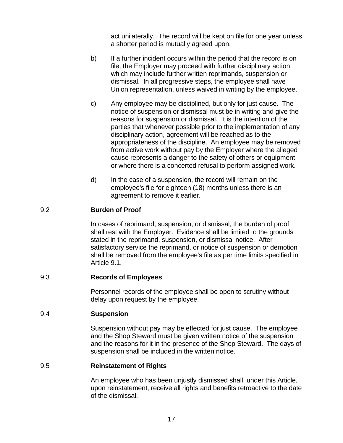act unilaterally. The record will be kept on file for one year unless a shorter period is mutually agreed upon.

- b) If a further incident occurs within the period that the record is on file, the Employer may proceed with further disciplinary action which may include further written reprimands, suspension or dismissal. In all progressive steps, the employee shall have Union representation, unless waived in writing by the employee.
- c) Any employee may be disciplined, but only for just cause. The notice of suspension or dismissal must be in writing and give the reasons for suspension or dismissal. It is the intention of the parties that whenever possible prior to the implementation of any disciplinary action, agreement will be reached as to the appropriateness of the discipline. An employee may be removed from active work without pay by the Employer where the alleged cause represents a danger to the safety of others or equipment or where there is a concerted refusal to perform assigned work.
- d) In the case of a suspension, the record will remain on the employee's file for eighteen (18) months unless there is an agreement to remove it earlier.

# <span id="page-22-0"></span>9.2 **Burden of Proof**

In cases of reprimand, suspension, or dismissal, the burden of proof shall rest with the Employer. Evidence shall be limited to the grounds stated in the reprimand, suspension, or dismissal notice. After satisfactory service the reprimand, or notice of suspension or demotion shall be removed from the employee's file as per time limits specified in Article 9.1.

### <span id="page-22-1"></span>9.3 **Records of Employees**

Personnel records of the employee shall be open to scrutiny without delay upon request by the employee.

### <span id="page-22-2"></span>9.4 **Suspension**

Suspension without pay may be effected for just cause. The employee and the Shop Steward must be given written notice of the suspension and the reasons for it in the presence of the Shop Steward. The days of suspension shall be included in the written notice.

### <span id="page-22-3"></span>9.5 **Reinstatement of Rights**

An employee who has been unjustly dismissed shall, under this Article, upon reinstatement, receive all rights and benefits retroactive to the date of the dismissal.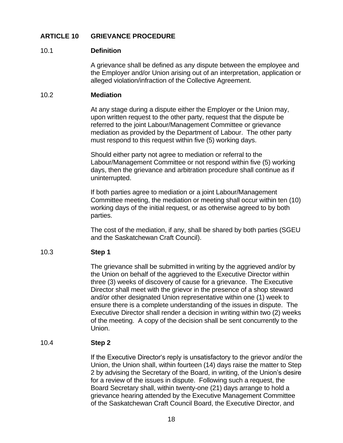# <span id="page-23-0"></span>**ARTICLE 10 GRIEVANCE PROCEDURE**

#### <span id="page-23-1"></span>10.1 **Definition**

A grievance shall be defined as any dispute between the employee and the Employer and/or Union arising out of an interpretation, application or alleged violation/infraction of the Collective Agreement.

#### <span id="page-23-2"></span>10.2 **Mediation**

At any stage during a dispute either the Employer or the Union may, upon written request to the other party, request that the dispute be referred to the joint Labour/Management Committee or grievance mediation as provided by the Department of Labour. The other party must respond to this request within five (5) working days.

Should either party not agree to mediation or referral to the Labour/Management Committee or not respond within five (5) working days, then the grievance and arbitration procedure shall continue as if uninterrupted.

If both parties agree to mediation or a joint Labour/Management Committee meeting, the mediation or meeting shall occur within ten (10) working days of the initial request, or as otherwise agreed to by both parties.

The cost of the mediation, if any, shall be shared by both parties (SGEU and the Saskatchewan Craft Council).

### <span id="page-23-3"></span>10.3 **Step 1**

The grievance shall be submitted in writing by the aggrieved and/or by the Union on behalf of the aggrieved to the Executive Director within three (3) weeks of discovery of cause for a grievance. The Executive Director shall meet with the grievor in the presence of a shop steward and/or other designated Union representative within one (1) week to ensure there is a complete understanding of the issues in dispute. The Executive Director shall render a decision in writing within two (2) weeks of the meeting. A copy of the decision shall be sent concurrently to the Union.

### <span id="page-23-4"></span>10.4 **Step 2**

If the Executive Director's reply is unsatisfactory to the grievor and/or the Union, the Union shall, within fourteen (14) days raise the matter to Step 2 by advising the Secretary of the Board, in writing, of the Union's desire for a review of the issues in dispute. Following such a request, the Board Secretary shall, within twenty-one (21) days arrange to hold a grievance hearing attended by the Executive Management Committee of the Saskatchewan Craft Council Board, the Executive Director, and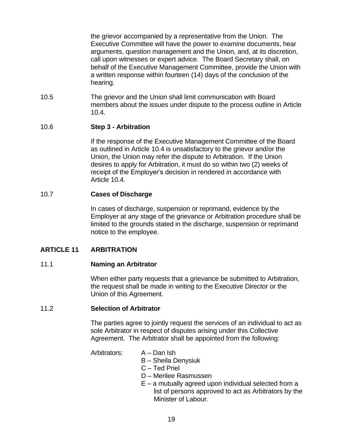the grievor accompanied by a representative from the Union. The Executive Committee will have the power to examine documents, hear arguments, question management and the Union, and, at its discretion, call upon witnesses or expert advice. The Board Secretary shall, on behalf of the Executive Management Committee, provide the Union with a written response within fourteen (14) days of the conclusion of the hearing.

10.5 The grievor and the Union shall limit communication with Board members about the issues under dispute to the process outline in Article 10.4.

# <span id="page-24-0"></span>10.6 **Step 3 - Arbitration**

If the response of the Executive Management Committee of the Board as outlined in Article 10.4 is unsatisfactory to the grievor and/or the Union, the Union may refer the dispute to Arbitration. If the Union desires to apply for Arbitration, it must do so within two (2) weeks of receipt of the Employer's decision in rendered in accordance with Article 10.4.

# <span id="page-24-1"></span>10.7 **Cases of Discharge**

In cases of discharge, suspension or reprimand, evidence by the Employer at any stage of the grievance or Arbitration procedure shall be limited to the grounds stated in the discharge, suspension or reprimand notice to the employee.

# <span id="page-24-2"></span>**ARTICLE 11 ARBITRATION**

### <span id="page-24-3"></span>11.1 **Naming an Arbitrator**

When either party requests that a grievance be submitted to Arbitration, the request shall be made in writing to the Executive Director or the Union of this Agreement.

### <span id="page-24-4"></span>11.2 **Selection of Arbitrator**

The parties agree to jointly request the services of an individual to act as sole Arbitrator in respect of disputes arising under this Collective Agreement. The Arbitrator shall be appointed from the following:

Arbitrators: A – Dan Ish

- 
- B Sheila Denysiuk
- C Ted Priel
- D Merilee Rasmussen
- E a mutually agreed upon individual selected from a list of persons approved to act as Arbitrators by the Minister of Labour.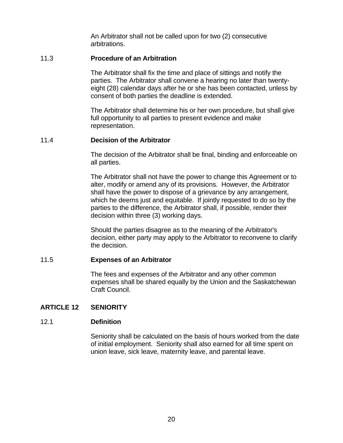An Arbitrator shall not be called upon for two (2) consecutive arbitrations.

#### <span id="page-25-0"></span>11.3 **Procedure of an Arbitration**

The Arbitrator shall fix the time and place of sittings and notify the parties. The Arbitrator shall convene a hearing no later than twentyeight (28) calendar days after he or she has been contacted, unless by consent of both parties the deadline is extended.

The Arbitrator shall determine his or her own procedure, but shall give full opportunity to all parties to present evidence and make representation.

#### <span id="page-25-1"></span>11.4 **Decision of the Arbitrator**

The decision of the Arbitrator shall be final, binding and enforceable on all parties.

The Arbitrator shall not have the power to change this Agreement or to alter, modify or amend any of its provisions. However, the Arbitrator shall have the power to dispose of a grievance by any arrangement, which he deems just and equitable. If jointly requested to do so by the parties to the difference, the Arbitrator shall, if possible, render their decision within three (3) working days.

Should the parties disagree as to the meaning of the Arbitrator's decision, either party may apply to the Arbitrator to reconvene to clarify the decision.

#### <span id="page-25-2"></span>11.5 **Expenses of an Arbitrator**

The fees and expenses of the Arbitrator and any other common expenses shall be shared equally by the Union and the Saskatchewan Craft Council.

# <span id="page-25-3"></span>**ARTICLE 12 SENIORITY**

### <span id="page-25-4"></span>12.1 **Definition**

Seniority shall be calculated on the basis of hours worked from the date of initial employment. Seniority shall also earned for all time spent on union leave, sick leave, maternity leave, and parental leave.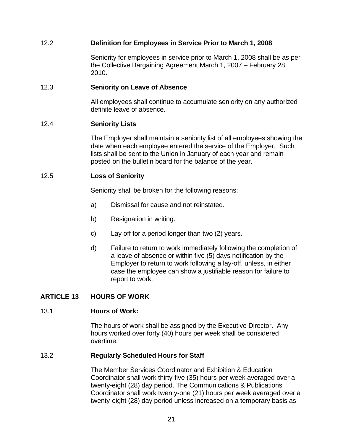# <span id="page-26-0"></span>12.2 **Definition for Employees in Service Prior to March 1, 2008**

Seniority for employees in service prior to March 1, 2008 shall be as per the Collective Bargaining Agreement March 1, 2007 – February 28, 2010.

#### <span id="page-26-1"></span>12.3 **Seniority on Leave of Absence**

All employees shall continue to accumulate seniority on any authorized definite leave of absence.

#### <span id="page-26-2"></span>12.4 **Seniority Lists**

The Employer shall maintain a seniority list of all employees showing the date when each employee entered the service of the Employer. Such lists shall be sent to the Union in January of each year and remain posted on the bulletin board for the balance of the year.

#### <span id="page-26-3"></span>12.5 **Loss of Seniority**

Seniority shall be broken for the following reasons:

- a) Dismissal for cause and not reinstated.
- b) Resignation in writing.
- c) Lay off for a period longer than two (2) years.
- d) Failure to return to work immediately following the completion of a leave of absence or within five (5) days notification by the Employer to return to work following a lay-off, unless, in either case the employee can show a justifiable reason for failure to report to work.

### <span id="page-26-5"></span><span id="page-26-4"></span>**ARTICLE 13 HOURS OF WORK**

#### 13.1 **Hours of Work:**

The hours of work shall be assigned by the Executive Director. Any hours worked over forty (40) hours per week shall be considered overtime.

#### <span id="page-26-6"></span>13.2 **Regularly Scheduled Hours for Staff**

The Member Services Coordinator and Exhibition & Education Coordinator shall work thirty-five (35) hours per week averaged over a twenty-eight (28) day period. The Communications & Publications Coordinator shall work twenty-one (21) hours per week averaged over a twenty-eight (28) day period unless increased on a temporary basis as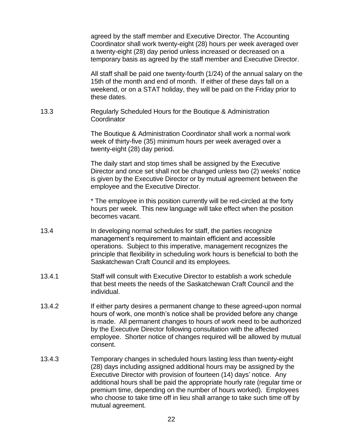|        | agreed by the staff member and Executive Director. The Accounting<br>Coordinator shall work twenty-eight (28) hours per week averaged over<br>a twenty-eight (28) day period unless increased or decreased on a<br>temporary basis as agreed by the staff member and Executive Director.                                                                                             |
|--------|--------------------------------------------------------------------------------------------------------------------------------------------------------------------------------------------------------------------------------------------------------------------------------------------------------------------------------------------------------------------------------------|
|        | All staff shall be paid one twenty-fourth (1/24) of the annual salary on the<br>15th of the month and end of month. If either of these days fall on a<br>weekend, or on a STAT holiday, they will be paid on the Friday prior to<br>these dates.                                                                                                                                     |
| 13.3   | Regularly Scheduled Hours for the Boutique & Administration<br>Coordinator                                                                                                                                                                                                                                                                                                           |
|        | The Boutique & Administration Coordinator shall work a normal work<br>week of thirty-five (35) minimum hours per week averaged over a<br>twenty-eight (28) day period.                                                                                                                                                                                                               |
|        | The daily start and stop times shall be assigned by the Executive<br>Director and once set shall not be changed unless two (2) weeks' notice<br>is given by the Executive Director or by mutual agreement between the<br>employee and the Executive Director.                                                                                                                        |
|        | * The employee in this position currently will be red-circled at the forty<br>hours per week. This new language will take effect when the position<br>becomes vacant.                                                                                                                                                                                                                |
| 13.4   | In developing normal schedules for staff, the parties recognize<br>management's requirement to maintain efficient and accessible<br>operations. Subject to this imperative, management recognizes the<br>principle that flexibility in scheduling work hours is beneficial to both the<br>Saskatchewan Craft Council and its employees.                                              |
| 13.4.1 | Staff will consult with Executive Director to establish a work schedule<br>that best meets the needs of the Saskatchewan Craft Council and the<br>individual.                                                                                                                                                                                                                        |
| 13.4.2 | If either party desires a permanent change to these agreed-upon normal<br>hours of work, one month's notice shall be provided before any change<br>is made. All permanent changes to hours of work need to be authorized<br>by the Executive Director following consultation with the affected<br>employee. Shorter notice of changes required will be allowed by mutual<br>consent. |
| 13.4.3 | Temporary changes in scheduled hours lasting less than twenty-eight<br>(28) days including assigned additional hours may be assigned by the<br>Executive Director with provision of fourteen (14) days' notice. Any<br>inel become elect he metal the encomposition her ultrante (no quite                                                                                           |

additional hours shall be paid the appropriate hourly rate (regular time or premium time, depending on the number of hours worked). Employees who choose to take time off in lieu shall arrange to take such time off by mutual agreement.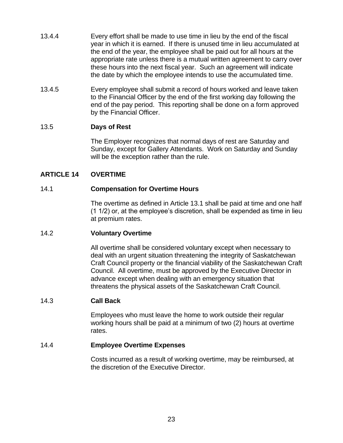- 13.4.4 Every effort shall be made to use time in lieu by the end of the fiscal year in which it is earned. If there is unused time in lieu accumulated at the end of the year, the employee shall be paid out for all hours at the appropriate rate unless there is a mutual written agreement to carry over these hours into the next fiscal year. Such an agreement will indicate the date by which the employee intends to use the accumulated time.
- 13.4.5 Every employee shall submit a record of hours worked and leave taken to the Financial Officer by the end of the first working day following the end of the pay period. This reporting shall be done on a form approved by the Financial Officer.

### <span id="page-28-0"></span>13.5 **Days of Rest**

The Employer recognizes that normal days of rest are Saturday and Sunday, except for Gallery Attendants. Work on Saturday and Sunday will be the exception rather than the rule.

# <span id="page-28-1"></span>**ARTICLE 14 OVERTIME**

## <span id="page-28-2"></span>14.1 **Compensation for Overtime Hours**

The overtime as defined in Article 13.1 shall be paid at time and one half (1 1/2) or, at the employee's discretion, shall be expended as time in lieu at premium rates.

### <span id="page-28-3"></span>14.2 **Voluntary Overtime**

All overtime shall be considered voluntary except when necessary to deal with an urgent situation threatening the integrity of Saskatchewan Craft Council property or the financial viability of the Saskatchewan Craft Council. All overtime, must be approved by the Executive Director in advance except when dealing with an emergency situation that threatens the physical assets of the Saskatchewan Craft Council.

### <span id="page-28-4"></span>14.3 **Call Back**

Employees who must leave the home to work outside their regular working hours shall be paid at a minimum of two (2) hours at overtime rates.

### <span id="page-28-5"></span>14.4 **Employee Overtime Expenses**

Costs incurred as a result of working overtime, may be reimbursed, at the discretion of the Executive Director.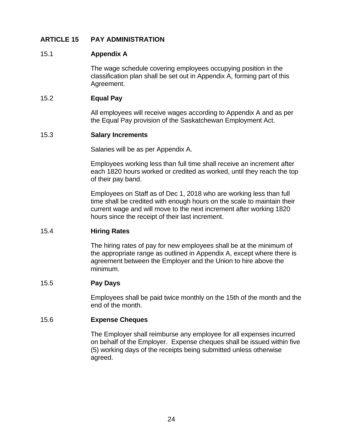# <span id="page-29-0"></span>**ARTICLE 15 PAY ADMINISTRATION**

#### <span id="page-29-1"></span>15.1 **Appendix A**

The wage schedule covering employees occupying position in the classification plan shall be set out in Appendix A, forming part of this Agreement.

#### <span id="page-29-2"></span>15.2 **Equal Pay**

All employees will receive wages according to Appendix A and as per the Equal Pay provision of the Saskatchewan Employment Act.

#### <span id="page-29-3"></span>15.3 **Salary Increments**

Salaries will be as per Appendix A.

Employees working less than full time shall receive an increment after each 1820 hours worked or credited as worked, until they reach the top of their pay band.

Employees on Staff as of Dec 1, 2018 who are working less than full time shall be credited with enough hours on the scale to maintain their current wage and will move to the next increment after working 1820 hours since the receipt of their last increment.

### <span id="page-29-4"></span>15.4 **Hiring Rates**

The hiring rates of pay for new employees shall be at the minimum of the appropriate range as outlined in Appendix A, except where there is agreement between the Employer and the Union to hire above the minimum.

# <span id="page-29-5"></span>15.5 **Pay Days**

Employees shall be paid twice monthly on the 15th of the month and the end of the month.

#### <span id="page-29-6"></span>15.6 **Expense Cheques**

The Employer shall reimburse any employee for all expenses incurred on behalf of the Employer. Expense cheques shall be issued within five (5) working days of the receipts being submitted unless otherwise agreed.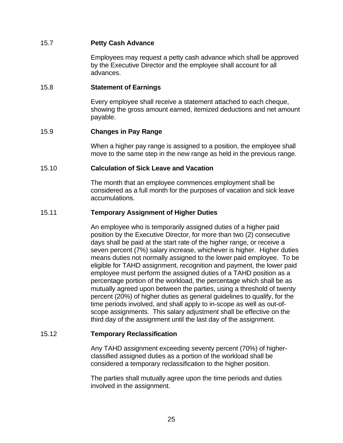## <span id="page-30-0"></span>15.7 **Petty Cash Advance**

Employees may request a petty cash advance which shall be approved by the Executive Director and the employee shall account for all advances.

### <span id="page-30-1"></span>15.8 **Statement of Earnings**

Every employee shall receive a statement attached to each cheque, showing the gross amount earned, itemized deductions and net amount payable.

### <span id="page-30-2"></span>15.9 **Changes in Pay Range**

When a higher pay range is assigned to a position, the employee shall move to the same step in the new range as held in the previous range.

#### <span id="page-30-3"></span>15.10 **Calculation of Sick Leave and Vacation**

The month that an employee commences employment shall be considered as a full month for the purposes of vacation and sick leave accumulations.

#### <span id="page-30-4"></span>15.11 **Temporary Assignment of Higher Duties**

An employee who is temporarily assigned duties of a higher paid position by the Executive Director, for more than two (2) consecutive days shall be paid at the start rate of the higher range, or receive a seven percent (7%) salary increase, whichever is higher. Higher duties means duties not normally assigned to the lower paid employee. To be eligible for TAHD assignment, recognition and payment, the lower paid employee must perform the assigned duties of a TAHD position as a percentage portion of the workload, the percentage which shall be as mutually agreed upon between the parties, using a threshold of twenty percent (20%) of higher duties as general guidelines to qualify, for the time periods involved, and shall apply to in-scope as well as out-ofscope assignments. This salary adjustment shall be effective on the third day of the assignment until the last day of the assignment.

#### <span id="page-30-5"></span>15.12 **Temporary Reclassification**

Any TAHD assignment exceeding seventy percent (70%) of higherclassified assigned duties as a portion of the workload shall be considered a temporary reclassification to the higher position.

The parties shall mutually agree upon the time periods and duties involved in the assignment.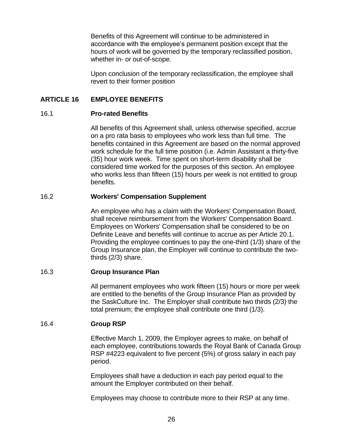Benefits of this Agreement will continue to be administered in accordance with the employee's permanent position except that the hours of work will be governed by the temporary reclassified position, whether in- or out-of-scope.

Upon conclusion of the temporary reclassification, the employee shall revert to their former position

# <span id="page-31-0"></span>**ARTICLE 16 EMPLOYEE BENEFITS**

#### <span id="page-31-1"></span>16.1 **Pro-rated Benefits**

All benefits of this Agreement shall, unless otherwise specified, accrue on a pro rata basis to employees who work less than full time. The benefits contained in this Agreement are based on the normal approved work schedule for the full time position (i.e. Admin Assistant a thirty-five (35) hour work week. Time spent on short-term disability shall be considered time worked for the purposes of this section. An employee who works less than fifteen (15) hours per week is not entitled to group benefits.

#### <span id="page-31-2"></span>16.2 **Workers' Compensation Supplement**

An employee who has a claim with the Workers' Compensation Board, shall receive reimbursement from the Workers' Compensation Board. Employees on Workers' Compensation shall be considered to be on Definite Leave and benefits will continue to accrue as per Article 20.1. Providing the employee continues to pay the one-third (1/3) share of the Group Insurance plan, the Employer will continue to contribute the twothirds (2/3) share.

#### <span id="page-31-3"></span>16.3 **Group Insurance Plan**

All permanent employees who work fifteen (15) hours or more per week are entitled to the benefits of the Group Insurance Plan as provided by the SaskCulture Inc. The Employer shall contribute two thirds (2/3) the total premium; the employee shall contribute one third (1/3).

#### <span id="page-31-4"></span>16.4 **Group RSP**

Effective March 1, 2009, the Employer agrees to make, on behalf of each employee, contributions towards the Royal Bank of Canada Group RSP #4223 equivalent to five percent (5%) of gross salary in each pay period.

Employees shall have a deduction in each pay period equal to the amount the Employer contributed on their behalf.

Employees may choose to contribute more to their RSP at any time.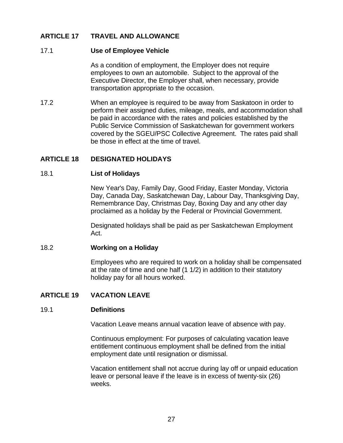# <span id="page-32-0"></span>**ARTICLE 17 TRAVEL AND ALLOWANCE**

#### <span id="page-32-1"></span>17.1 **Use of Employee Vehicle**

As a condition of employment, the Employer does not require employees to own an automobile. Subject to the approval of the Executive Director, the Employer shall, when necessary, provide transportation appropriate to the occasion.

17.2 When an employee is required to be away from Saskatoon in order to perform their assigned duties, mileage, meals, and accommodation shall be paid in accordance with the rates and policies established by the Public Service Commission of Saskatchewan for government workers covered by the SGEU/PSC Collective Agreement. The rates paid shall be those in effect at the time of travel.

### <span id="page-32-3"></span><span id="page-32-2"></span>**ARTICLE 18 DESIGNATED HOLIDAYS**

#### 18.1 **List of Holidays**

New Year's Day, Family Day, Good Friday, Easter Monday, Victoria Day, Canada Day, Saskatchewan Day, Labour Day, Thanksgiving Day, Remembrance Day, Christmas Day, Boxing Day and any other day proclaimed as a holiday by the Federal or Provincial Government.

Designated holidays shall be paid as per Saskatchewan Employment Act.

#### <span id="page-32-4"></span>18.2 **Working on a Holiday**

Employees who are required to work on a holiday shall be compensated at the rate of time and one half (1 1/2) in addition to their statutory holiday pay for all hours worked.

### <span id="page-32-6"></span><span id="page-32-5"></span>**ARTICLE 19 VACATION LEAVE**

#### 19.1 **Definitions**

Vacation Leave means annual vacation leave of absence with pay.

Continuous employment: For purposes of calculating vacation leave entitlement continuous employment shall be defined from the initial employment date until resignation or dismissal.

Vacation entitlement shall not accrue during lay off or unpaid education leave or personal leave if the leave is in excess of twenty-six (26) weeks.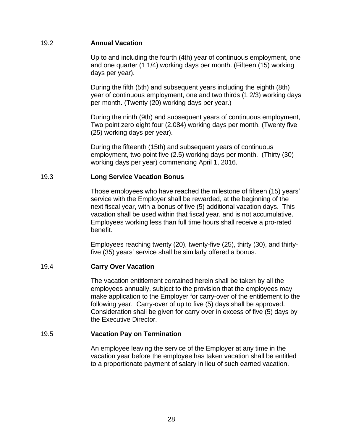## <span id="page-33-0"></span>19.2 **Annual Vacation**

Up to and including the fourth (4th) year of continuous employment, one and one quarter (1 1/4) working days per month. (Fifteen (15) working days per year).

During the fifth (5th) and subsequent years including the eighth (8th) year of continuous employment, one and two thirds (1 2/3) working days per month. (Twenty (20) working days per year.)

During the ninth (9th) and subsequent years of continuous employment, Two point zero eight four (2.084) working days per month. (Twenty five (25) working days per year).

During the fifteenth (15th) and subsequent years of continuous employment, two point five (2.5) working days per month. (Thirty (30) working days per year) commencing April 1, 2016.

### <span id="page-33-1"></span>19.3 **Long Service Vacation Bonus**

Those employees who have reached the milestone of fifteen (15) years' service with the Employer shall be rewarded, at the beginning of the next fiscal year, with a bonus of five (5) additional vacation days. This vacation shall be used within that fiscal year, and is not accumulative. Employees working less than full time hours shall receive a pro-rated benefit.

Employees reaching twenty (20), twenty-five (25), thirty (30), and thirtyfive (35) years' service shall be similarly offered a bonus.

### <span id="page-33-2"></span>19.4 **Carry Over Vacation**

The vacation entitlement contained herein shall be taken by all the employees annually, subject to the provision that the employees may make application to the Employer for carry-over of the entitlement to the following year. Carry-over of up to five (5) days shall be approved. Consideration shall be given for carry over in excess of five (5) days by the Executive Director.

### <span id="page-33-3"></span>19.5 **Vacation Pay on Termination**

An employee leaving the service of the Employer at any time in the vacation year before the employee has taken vacation shall be entitled to a proportionate payment of salary in lieu of such earned vacation.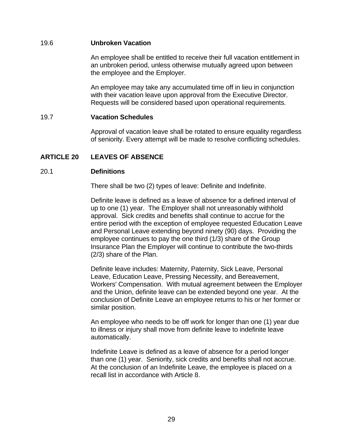### <span id="page-34-0"></span>19.6 **Unbroken Vacation**

An employee shall be entitled to receive their full vacation entitlement in an unbroken period, unless otherwise mutually agreed upon between the employee and the Employer.

An employee may take any accumulated time off in lieu in conjunction with their vacation leave upon approval from the Executive Director. Requests will be considered based upon operational requirements.

#### <span id="page-34-1"></span>19.7 **Vacation Schedules**

Approval of vacation leave shall be rotated to ensure equality regardless of seniority. Every attempt will be made to resolve conflicting schedules.

### <span id="page-34-2"></span>**ARTICLE 20 LEAVES OF ABSENCE**

#### <span id="page-34-3"></span>20.1 **Definitions**

There shall be two (2) types of leave: Definite and Indefinite.

Definite leave is defined as a leave of absence for a defined interval of up to one (1) year. The Employer shall not unreasonably withhold approval. Sick credits and benefits shall continue to accrue for the entire period with the exception of employee requested Education Leave and Personal Leave extending beyond ninety (90) days. Providing the employee continues to pay the one third (1/3) share of the Group Insurance Plan the Employer will continue to contribute the two-thirds (2/3) share of the Plan.

Definite leave includes: Maternity, Paternity, Sick Leave, Personal Leave, Education Leave, Pressing Necessity, and Bereavement, Workers' Compensation. With mutual agreement between the Employer and the Union, definite leave can be extended beyond one year. At the conclusion of Definite Leave an employee returns to his or her former or similar position.

An employee who needs to be off work for longer than one (1) year due to illness or injury shall move from definite leave to indefinite leave automatically.

Indefinite Leave is defined as a leave of absence for a period longer than one (1) year. Seniority, sick credits and benefits shall not accrue. At the conclusion of an Indefinite Leave, the employee is placed on a recall list in accordance with Article 8.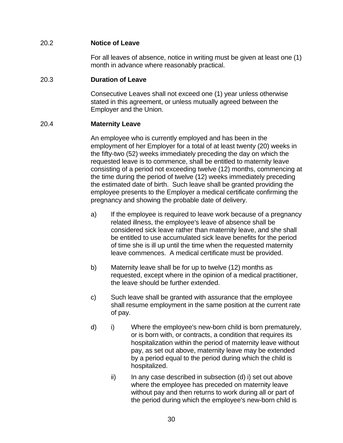# <span id="page-35-0"></span>20.2 **Notice of Leave**

For all leaves of absence, notice in writing must be given at least one (1) month in advance where reasonably practical.

### <span id="page-35-1"></span>20.3 **Duration of Leave**

Consecutive Leaves shall not exceed one (1) year unless otherwise stated in this agreement, or unless mutually agreed between the Employer and the Union.

# <span id="page-35-2"></span>20.4 **Maternity Leave**

An employee who is currently employed and has been in the employment of her Employer for a total of at least twenty (20) weeks in the fifty-two (52) weeks immediately preceding the day on which the requested leave is to commence, shall be entitled to maternity leave consisting of a period not exceeding twelve (12) months, commencing at the time during the period of twelve (12) weeks immediately preceding the estimated date of birth. Such leave shall be granted providing the employee presents to the Employer a medical certificate confirming the pregnancy and showing the probable date of delivery.

- a) If the employee is required to leave work because of a pregnancy related illness, the employee's leave of absence shall be considered sick leave rather than maternity leave, and she shall be entitled to use accumulated sick leave benefits for the period of time she is ill up until the time when the requested maternity leave commences. A medical certificate must be provided.
- b) Maternity leave shall be for up to twelve (12) months as requested, except where in the opinion of a medical practitioner, the leave should be further extended.
- c) Such leave shall be granted with assurance that the employee shall resume employment in the same position at the current rate of pay.
- d) i) Where the employee's new-born child is born prematurely, or is born with, or contracts, a condition that requires its hospitalization within the period of maternity leave without pay, as set out above, maternity leave may be extended by a period equal to the period during which the child is hospitalized.
	- $ii)$  In any case described in subsection (d) i) set out above where the employee has preceded on maternity leave without pay and then returns to work during all or part of the period during which the employee's new-born child is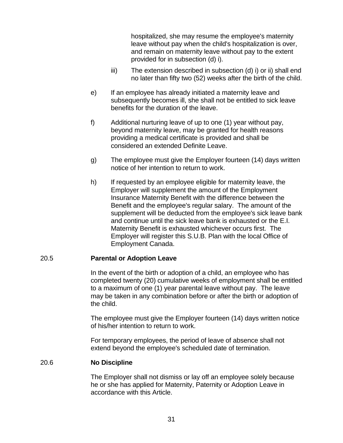hospitalized, she may resume the employee's maternity leave without pay when the child's hospitalization is over, and remain on maternity leave without pay to the extent provided for in subsection (d) i).

- iii) The extension described in subsection (d) i) or ii) shall end no later than fifty two (52) weeks after the birth of the child.
- e) If an employee has already initiated a maternity leave and subsequently becomes ill, she shall not be entitled to sick leave benefits for the duration of the leave.
- f) Additional nurturing leave of up to one (1) year without pay, beyond maternity leave, may be granted for health reasons providing a medical certificate is provided and shall be considered an extended Definite Leave.
- g) The employee must give the Employer fourteen (14) days written notice of her intention to return to work.
- h) If requested by an employee eligible for maternity leave, the Employer will supplement the amount of the Employment Insurance Maternity Benefit with the difference between the Benefit and the employee's regular salary. The amount of the supplement will be deducted from the employee's sick leave bank and continue until the sick leave bank is exhausted or the E.I. Maternity Benefit is exhausted whichever occurs first. The Employer will register this S.U.B. Plan with the local Office of Employment Canada.

### <span id="page-36-0"></span>20.5 **Parental or Adoption Leave**

In the event of the birth or adoption of a child, an employee who has completed twenty (20) cumulative weeks of employment shall be entitled to a maximum of one (1) year parental leave without pay. The leave may be taken in any combination before or after the birth or adoption of the child.

The employee must give the Employer fourteen (14) days written notice of his/her intention to return to work.

For temporary employees, the period of leave of absence shall not extend beyond the employee's scheduled date of termination.

#### <span id="page-36-1"></span>20.6 **No Discipline**

The Employer shall not dismiss or lay off an employee solely because he or she has applied for Maternity, Paternity or Adoption Leave in accordance with this Article.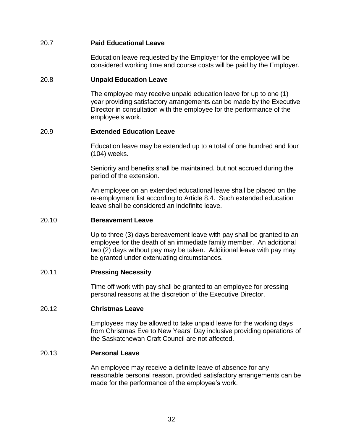## <span id="page-37-0"></span>20.7 **Paid Educational Leave**

Education leave requested by the Employer for the employee will be considered working time and course costs will be paid by the Employer.

#### <span id="page-37-1"></span>20.8 **Unpaid Education Leave**

The employee may receive unpaid education leave for up to one (1) year providing satisfactory arrangements can be made by the Executive Director in consultation with the employee for the performance of the employee's work.

#### <span id="page-37-2"></span>20.9 **Extended Education Leave**

Education leave may be extended up to a total of one hundred and four (104) weeks.

Seniority and benefits shall be maintained, but not accrued during the period of the extension.

An employee on an extended educational leave shall be placed on the re-employment list according to Article 8.4. Such extended education leave shall be considered an indefinite leave.

#### <span id="page-37-3"></span>20.10 **Bereavement Leave**

Up to three (3) days bereavement leave with pay shall be granted to an employee for the death of an immediate family member. An additional two (2) days without pay may be taken. Additional leave with pay may be granted under extenuating circumstances.

### <span id="page-37-4"></span>20.11 **Pressing Necessity**

Time off work with pay shall be granted to an employee for pressing personal reasons at the discretion of the Executive Director.

#### <span id="page-37-5"></span>20.12 **Christmas Leave**

Employees may be allowed to take unpaid leave for the working days from Christmas Eve to New Years' Day inclusive providing operations of the Saskatchewan Craft Council are not affected.

#### <span id="page-37-6"></span>20.13 **Personal Leave**

An employee may receive a definite leave of absence for any reasonable personal reason, provided satisfactory arrangements can be made for the performance of the employee's work.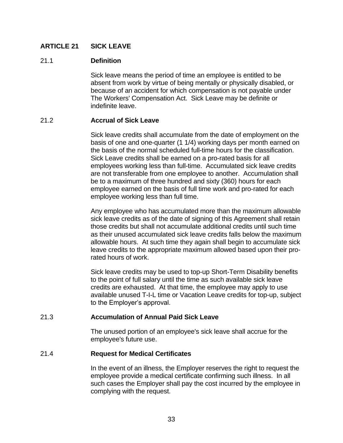# <span id="page-38-0"></span>**ARTICLE 21 SICK LEAVE**

### <span id="page-38-1"></span>21.1 **Definition**

Sick leave means the period of time an employee is entitled to be absent from work by virtue of being mentally or physically disabled, or because of an accident for which compensation is not payable under The Workers' Compensation Act. Sick Leave may be definite or indefinite leave.

#### <span id="page-38-2"></span>21.2 **Accrual of Sick Leave**

Sick leave credits shall accumulate from the date of employment on the basis of one and one-quarter (1 1/4) working days per month earned on the basis of the normal scheduled full-time hours for the classification. Sick Leave credits shall be earned on a pro-rated basis for all employees working less than full-time. Accumulated sick leave credits are not transferable from one employee to another. Accumulation shall be to a maximum of three hundred and sixty (360) hours for each employee earned on the basis of full time work and pro-rated for each employee working less than full time.

Any employee who has accumulated more than the maximum allowable sick leave credits as of the date of signing of this Agreement shall retain those credits but shall not accumulate additional credits until such time as their unused accumulated sick leave credits falls below the maximum allowable hours. At such time they again shall begin to accumulate sick leave credits to the appropriate maximum allowed based upon their prorated hours of work.

Sick leave credits may be used to top-up Short-Term Disability benefits to the point of full salary until the time as such available sick leave credits are exhausted. At that time, the employee may apply to use available unused T-I-L time or Vacation Leave credits for top-up, subject to the Employer's approval.

#### <span id="page-38-3"></span>21.3 **Accumulation of Annual Paid Sick Leave**

The unused portion of an employee's sick leave shall accrue for the employee's future use.

### <span id="page-38-4"></span>21.4 **Request for Medical Certificates**

In the event of an illness, the Employer reserves the right to request the employee provide a medical certificate confirming such illness. In all such cases the Employer shall pay the cost incurred by the employee in complying with the request.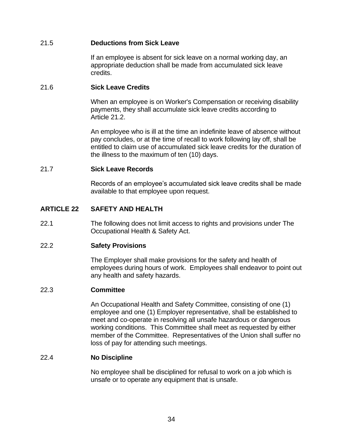# <span id="page-39-0"></span>21.5 **Deductions from Sick Leave**

If an employee is absent for sick leave on a normal working day, an appropriate deduction shall be made from accumulated sick leave credits.

## <span id="page-39-1"></span>21.6 **Sick Leave Credits**

When an employee is on Worker's Compensation or receiving disability payments, they shall accumulate sick leave credits according to Article 21.2.

An employee who is ill at the time an indefinite leave of absence without pay concludes, or at the time of recall to work following lay off, shall be entitled to claim use of accumulated sick leave credits for the duration of the illness to the maximum of ten (10) days.

### <span id="page-39-2"></span>21.7 **Sick Leave Records**

Records of an employee's accumulated sick leave credits shall be made available to that employee upon request.

# <span id="page-39-3"></span>**ARTICLE 22 SAFETY AND HEALTH**

22.1 The following does not limit access to rights and provisions under The Occupational Health & Safety Act.

# <span id="page-39-4"></span>22.2 **Safety Provisions**

The Employer shall make provisions for the safety and health of employees during hours of work. Employees shall endeavor to point out any health and safety hazards.

### <span id="page-39-5"></span>22.3 **Committee**

An Occupational Health and Safety Committee, consisting of one (1) employee and one (1) Employer representative, shall be established to meet and co-operate in resolving all unsafe hazardous or dangerous working conditions. This Committee shall meet as requested by either member of the Committee. Representatives of the Union shall suffer no loss of pay for attending such meetings.

### <span id="page-39-6"></span>22.4 **No Discipline**

No employee shall be disciplined for refusal to work on a job which is unsafe or to operate any equipment that is unsafe.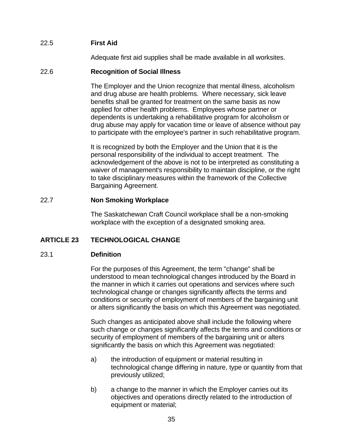# <span id="page-40-0"></span>22.5 **First Aid**

Adequate first aid supplies shall be made available in all worksites.

#### <span id="page-40-1"></span>22.6 **Recognition of Social Illness**

The Employer and the Union recognize that mental illness, alcoholism and drug abuse are health problems. Where necessary, sick leave benefits shall be granted for treatment on the same basis as now applied for other health problems. Employees whose partner or dependents is undertaking a rehabilitative program for alcoholism or drug abuse may apply for vacation time or leave of absence without pay to participate with the employee's partner in such rehabilitative program.

It is recognized by both the Employer and the Union that it is the personal responsibility of the individual to accept treatment. The acknowledgement of the above is not to be interpreted as constituting a waiver of management's responsibility to maintain discipline, or the right to take disciplinary measures within the framework of the Collective Bargaining Agreement.

### <span id="page-40-2"></span>22.7 **Non Smoking Workplace**

The Saskatchewan Craft Council workplace shall be a non-smoking workplace with the exception of a designated smoking area.

# <span id="page-40-3"></span>**ARTICLE 23 TECHNOLOGICAL CHANGE**

### <span id="page-40-4"></span>23.1 **Definition**

For the purposes of this Agreement, the term "change" shall be understood to mean technological changes introduced by the Board in the manner in which it carries out operations and services where such technological change or changes significantly affects the terms and conditions or security of employment of members of the bargaining unit or alters significantly the basis on which this Agreement was negotiated.

Such changes as anticipated above shall include the following where such change or changes significantly affects the terms and conditions or security of employment of members of the bargaining unit or alters significantly the basis on which this Agreement was negotiated:

- a) the introduction of equipment or material resulting in technological change differing in nature, type or quantity from that previously utilized;
- b) a change to the manner in which the Employer carries out its objectives and operations directly related to the introduction of equipment or material;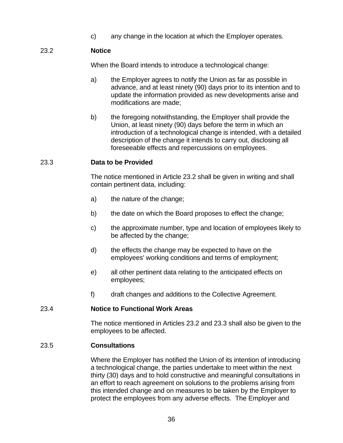c) any change in the location at which the Employer operates.

# <span id="page-41-0"></span>23.2 **Notice**

When the Board intends to introduce a technological change:

- a) the Employer agrees to notify the Union as far as possible in advance, and at least ninety (90) days prior to its intention and to update the information provided as new developments arise and modifications are made;
- b) the foregoing notwithstanding, the Employer shall provide the Union, at least ninety (90) days before the term in which an introduction of a technological change is intended, with a detailed description of the change it intends to carry out, disclosing all foreseeable effects and repercussions on employees.

# <span id="page-41-1"></span>23.3 **Data to be Provided**

The notice mentioned in Article 23.2 shall be given in writing and shall contain pertinent data, including:

- a) the nature of the change;
- b) the date on which the Board proposes to effect the change;
- c) the approximate number, type and location of employees likely to be affected by the change;
- d) the effects the change may be expected to have on the employees' working conditions and terms of employment;
- e) all other pertinent data relating to the anticipated effects on employees;
- f) draft changes and additions to the Collective Agreement.

### <span id="page-41-2"></span>23.4 **Notice to Functional Work Areas**

The notice mentioned in Articles 23.2 and 23.3 shall also be given to the employees to be affected.

### <span id="page-41-3"></span>23.5 **Consultations**

Where the Employer has notified the Union of its intention of introducing a technological change, the parties undertake to meet within the next thirty (30) days and to hold constructive and meaningful consultations in an effort to reach agreement on solutions to the problems arising from this intended change and on measures to be taken by the Employer to protect the employees from any adverse effects. The Employer and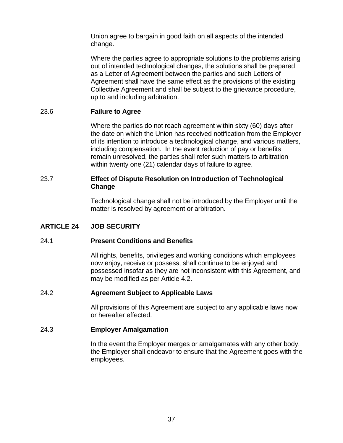Union agree to bargain in good faith on all aspects of the intended change.

Where the parties agree to appropriate solutions to the problems arising out of intended technological changes, the solutions shall be prepared as a Letter of Agreement between the parties and such Letters of Agreement shall have the same effect as the provisions of the existing Collective Agreement and shall be subject to the grievance procedure, up to and including arbitration.

### <span id="page-42-0"></span>23.6 **Failure to Agree**

Where the parties do not reach agreement within sixty (60) days after the date on which the Union has received notification from the Employer of its intention to introduce a technological change, and various matters, including compensation. In the event reduction of pay or benefits remain unresolved, the parties shall refer such matters to arbitration within twenty one (21) calendar days of failure to agree.

### <span id="page-42-1"></span>23.7 **Effect of Dispute Resolution on Introduction of Technological Change**

Technological change shall not be introduced by the Employer until the matter is resolved by agreement or arbitration.

### <span id="page-42-2"></span>**ARTICLE 24 JOB SECURITY**

### <span id="page-42-3"></span>24.1 **Present Conditions and Benefits**

All rights, benefits, privileges and working conditions which employees now enjoy, receive or possess, shall continue to be enjoyed and possessed insofar as they are not inconsistent with this Agreement, and may be modified as per Article 4.2.

### <span id="page-42-4"></span>24.2 **Agreement Subject to Applicable Laws**

All provisions of this Agreement are subject to any applicable laws now or hereafter effected.

#### <span id="page-42-5"></span>24.3 **Employer Amalgamation**

In the event the Employer merges or amalgamates with any other body, the Employer shall endeavor to ensure that the Agreement goes with the employees.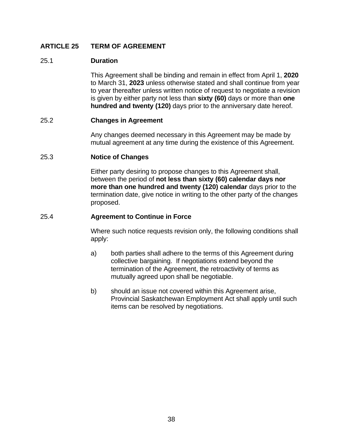# <span id="page-43-0"></span>**ARTICLE 25 TERM OF AGREEMENT**

#### <span id="page-43-1"></span>25.1 **Duration**

This Agreement shall be binding and remain in effect from April 1, **2020** to March 31, **2023** unless otherwise stated and shall continue from year to year thereafter unless written notice of request to negotiate a revision is given by either party not less than **sixty (60)** days or more than **one hundred and twenty (120)** days prior to the anniversary date hereof.

#### <span id="page-43-2"></span>25.2 **Changes in Agreement**

Any changes deemed necessary in this Agreement may be made by mutual agreement at any time during the existence of this Agreement.

#### <span id="page-43-3"></span>25.3 **Notice of Changes**

Either party desiring to propose changes to this Agreement shall, between the period of **not less than sixty (60) calendar days nor more than one hundred and twenty (120) calendar** days prior to the termination date, give notice in writing to the other party of the changes proposed.

#### <span id="page-43-4"></span>25.4 **Agreement to Continue in Force**

Where such notice requests revision only, the following conditions shall apply:

- a) both parties shall adhere to the terms of this Agreement during collective bargaining. If negotiations extend beyond the termination of the Agreement, the retroactivity of terms as mutually agreed upon shall be negotiable.
- b) should an issue not covered within this Agreement arise, Provincial Saskatchewan Employment Act shall apply until such items can be resolved by negotiations.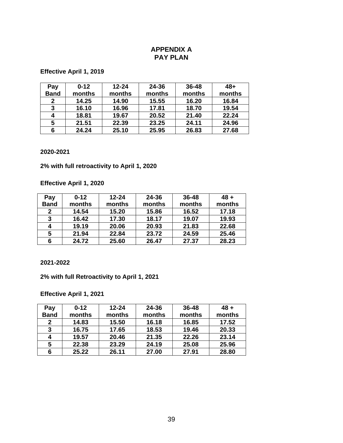### **APPENDIX A PAY PLAN**

#### <span id="page-44-0"></span>**Effective April 1, 2019**

| Pay         | $0 - 12$ | $12 - 24$ | 24-36  | 36-48  | 48+    |
|-------------|----------|-----------|--------|--------|--------|
| <b>Band</b> | months   | months    | months | months | months |
| 2           | 14.25    | 14.90     | 15.55  | 16.20  | 16.84  |
| 3           | 16.10    | 16.96     | 17.81  | 18.70  | 19.54  |
| 4           | 18.81    | 19.67     | 20.52  | 21.40  | 22.24  |
| 5           | 21.51    | 22.39     | 23.25  | 24.11  | 24.96  |
| 6           | 24.24    | 25.10     | 25.95  | 26.83  | 27.68  |

#### **2020-2021**

#### **2% with full retroactivity to April 1, 2020**

# **Effective April 1, 2020**

| Pay         | $0 - 12$ | $12 - 24$ | 24-36  | $36 - 48$ | $48 +$ |
|-------------|----------|-----------|--------|-----------|--------|
| <b>Band</b> | months   | months    | months | months    | months |
| 2           | 14.54    | 15.20     | 15.86  | 16.52     | 17.18  |
| 3           | 16.42    | 17.30     | 18.17  | 19.07     | 19.93  |
|             | 19.19    | 20.06     | 20.93  | 21.83     | 22.68  |
| 5           | 21.94    | 22.84     | 23.72  | 24.59     | 25.46  |
| 6           | 24.72    | 25.60     | 26.47  | 27.37     | 28.23  |

#### **2021-2022**

#### **2% with full Retroactivity to April 1, 2021**

# **Effective April 1, 2021**

| Pay         | $0 - 12$ | $12 - 24$ | 24-36  | 36-48  | $48 +$ |
|-------------|----------|-----------|--------|--------|--------|
| <b>Band</b> | months   | months    | months | months | months |
| 2           | 14.83    | 15.50     | 16.18  | 16.85  | 17.52  |
| 3           | 16.75    | 17.65     | 18.53  | 19.46  | 20.33  |
| 4           | 19.57    | 20.46     | 21.35  | 22.26  | 23.14  |
| 5           | 22.38    | 23.29     | 24.19  | 25.08  | 25.96  |
| 6           | 25.22    | 26.11     | 27.00  | 27.91  | 28.80  |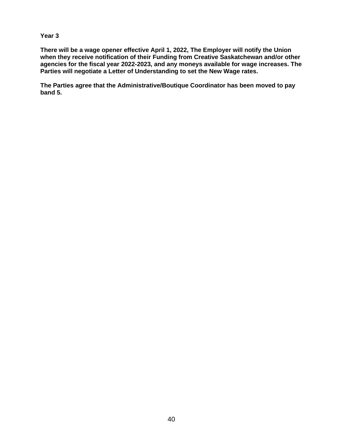#### **Year 3**

**There will be a wage opener effective April 1, 2022, The Employer will notify the Union when they receive notification of their Funding from Creative Saskatchewan and/or other agencies for the fiscal year 2022-2023, and any moneys available for wage increases. The Parties will negotiate a Letter of Understanding to set the New Wage rates.** 

**The Parties agree that the Administrative/Boutique Coordinator has been moved to pay band 5.**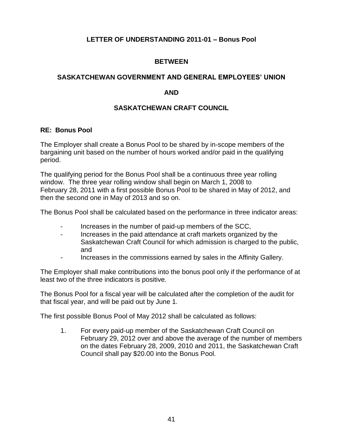# **LETTER OF UNDERSTANDING 2011-01 – Bonus Pool**

# **BETWEEN**

### <span id="page-46-0"></span>**SASKATCHEWAN GOVERNMENT AND GENERAL EMPLOYEES' UNION**

### **AND**

## **SASKATCHEWAN CRAFT COUNCIL**

#### **RE: Bonus Pool**

The Employer shall create a Bonus Pool to be shared by in-scope members of the bargaining unit based on the number of hours worked and/or paid in the qualifying period.

The qualifying period for the Bonus Pool shall be a continuous three year rolling window. The three year rolling window shall begin on March 1, 2008 to February 28, 2011 with a first possible Bonus Pool to be shared in May of 2012, and then the second one in May of 2013 and so on.

The Bonus Pool shall be calculated based on the performance in three indicator areas:

- Increases in the number of paid-up members of the SCC,
- Increases in the paid attendance at craft markets organized by the Saskatchewan Craft Council for which admission is charged to the public, and
- Increases in the commissions earned by sales in the Affinity Gallery.

The Employer shall make contributions into the bonus pool only if the performance of at least two of the three indicators is positive.

The Bonus Pool for a fiscal year will be calculated after the completion of the audit for that fiscal year, and will be paid out by June 1.

The first possible Bonus Pool of May 2012 shall be calculated as follows:

1. For every paid-up member of the Saskatchewan Craft Council on February 29, 2012 over and above the average of the number of members on the dates February 28, 2009, 2010 and 2011, the Saskatchewan Craft Council shall pay \$20.00 into the Bonus Pool.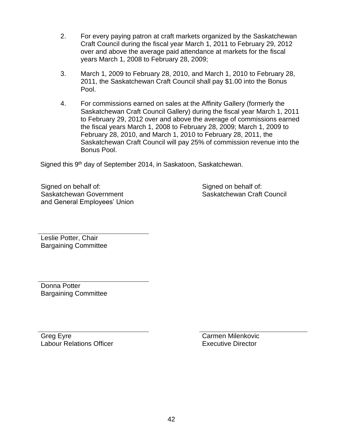- 2. For every paying patron at craft markets organized by the Saskatchewan Craft Council during the fiscal year March 1, 2011 to February 29, 2012 over and above the average paid attendance at markets for the fiscal years March 1, 2008 to February 28, 2009;
- 3. March 1, 2009 to February 28, 2010, and March 1, 2010 to February 28, 2011, the Saskatchewan Craft Council shall pay \$1.00 into the Bonus Pool.
- 4. For commissions earned on sales at the Affinity Gallery (formerly the Saskatchewan Craft Council Gallery) during the fiscal year March 1, 2011 to February 29, 2012 over and above the average of commissions earned the fiscal years March 1, 2008 to February 28, 2009; March 1, 2009 to February 28, 2010, and March 1, 2010 to February 28, 2011, the Saskatchewan Craft Council will pay 25% of commission revenue into the Bonus Pool.

Signed this 9<sup>th</sup> day of September 2014, in Saskatoon, Saskatchewan.

Signed on behalf of: Saskatchewan Government and General Employees' Union Signed on behalf of: Saskatchewan Craft Council

Leslie Potter, Chair Bargaining Committee

Donna Potter Bargaining Committee

Greg Eyre Labour Relations Officer Carmen Milenkovic Executive Director